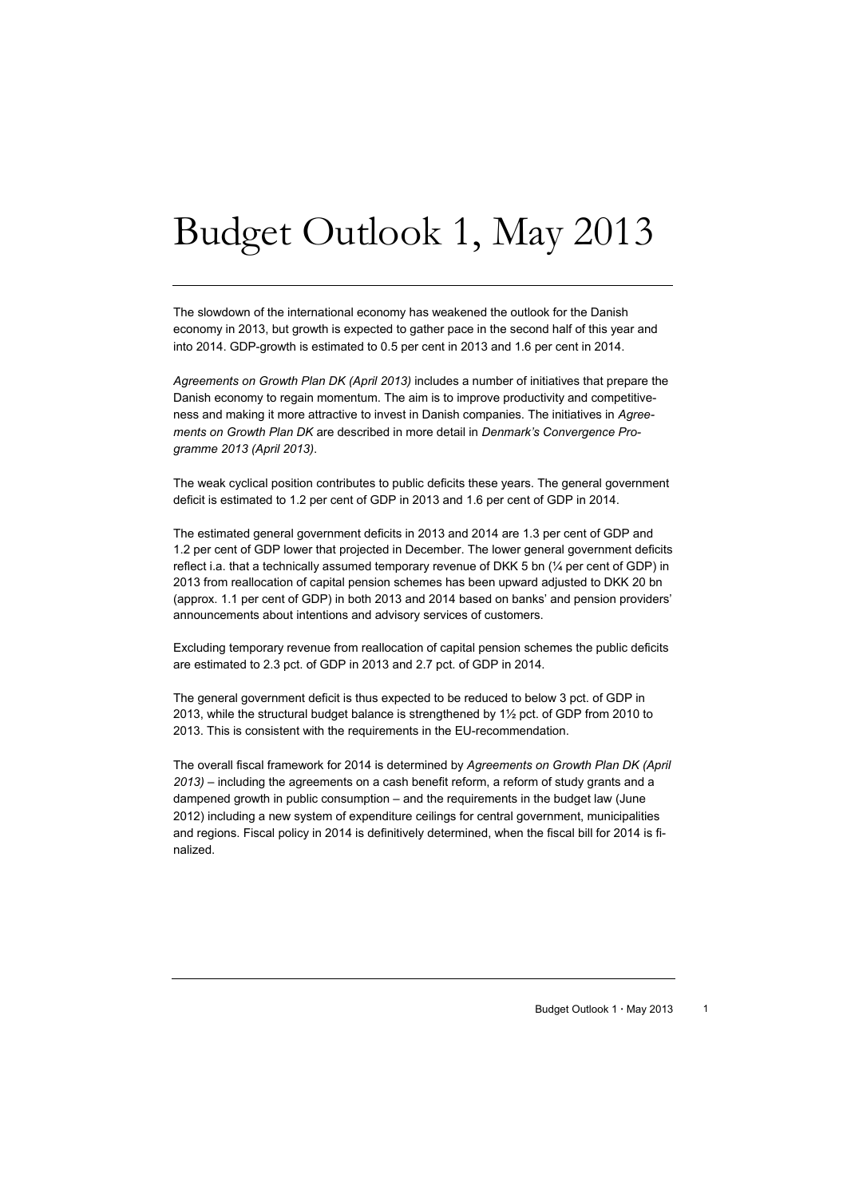# Budget Outlook 1, May 2013

The slowdown of the international economy has weakened the outlook for the Danish economy in 2013, but growth is expected to gather pace in the second half of this year and into 2014. GDP-growth is estimated to 0.5 per cent in 2013 and 1.6 per cent in 2014.

*Agreements on Growth Plan DK (April 2013)* includes a number of initiatives that prepare the Danish economy to regain momentum. The aim is to improve productivity and competitiveness and making it more attractive to invest in Danish companies. The initiatives in *Agreements on Growth Plan DK* are described in more detail in *Denmark's Convergence Programme 2013 (April 2013)*.

The weak cyclical position contributes to public deficits these years. The general government deficit is estimated to 1.2 per cent of GDP in 2013 and 1.6 per cent of GDP in 2014.

The estimated general government deficits in 2013 and 2014 are 1.3 per cent of GDP and 1.2 per cent of GDP lower that projected in December. The lower general government deficits reflect i.a. that a technically assumed temporary revenue of DKK 5 bn (¼ per cent of GDP) in 2013 from reallocation of capital pension schemes has been upward adjusted to DKK 20 bn (approx. 1.1 per cent of GDP) in both 2013 and 2014 based on banks' and pension providers' announcements about intentions and advisory services of customers.

Excluding temporary revenue from reallocation of capital pension schemes the public deficits are estimated to 2.3 pct. of GDP in 2013 and 2.7 pct. of GDP in 2014.

The general government deficit is thus expected to be reduced to below 3 pct. of GDP in 2013, while the structural budget balance is strengthened by 1½ pct. of GDP from 2010 to 2013. This is consistent with the requirements in the EU-recommendation.

The overall fiscal framework for 2014 is determined by *Agreements on Growth Plan DK (April 2013) –* including the agreements on a cash benefit reform, a reform of study grants and a dampened growth in public consumption – and the requirements in the budget law (June 2012) including a new system of expenditure ceilings for central government, municipalities and regions. Fiscal policy in 2014 is definitively determined, when the fiscal bill for 2014 is finalized.

Budget Outlook 1 · May 2013 1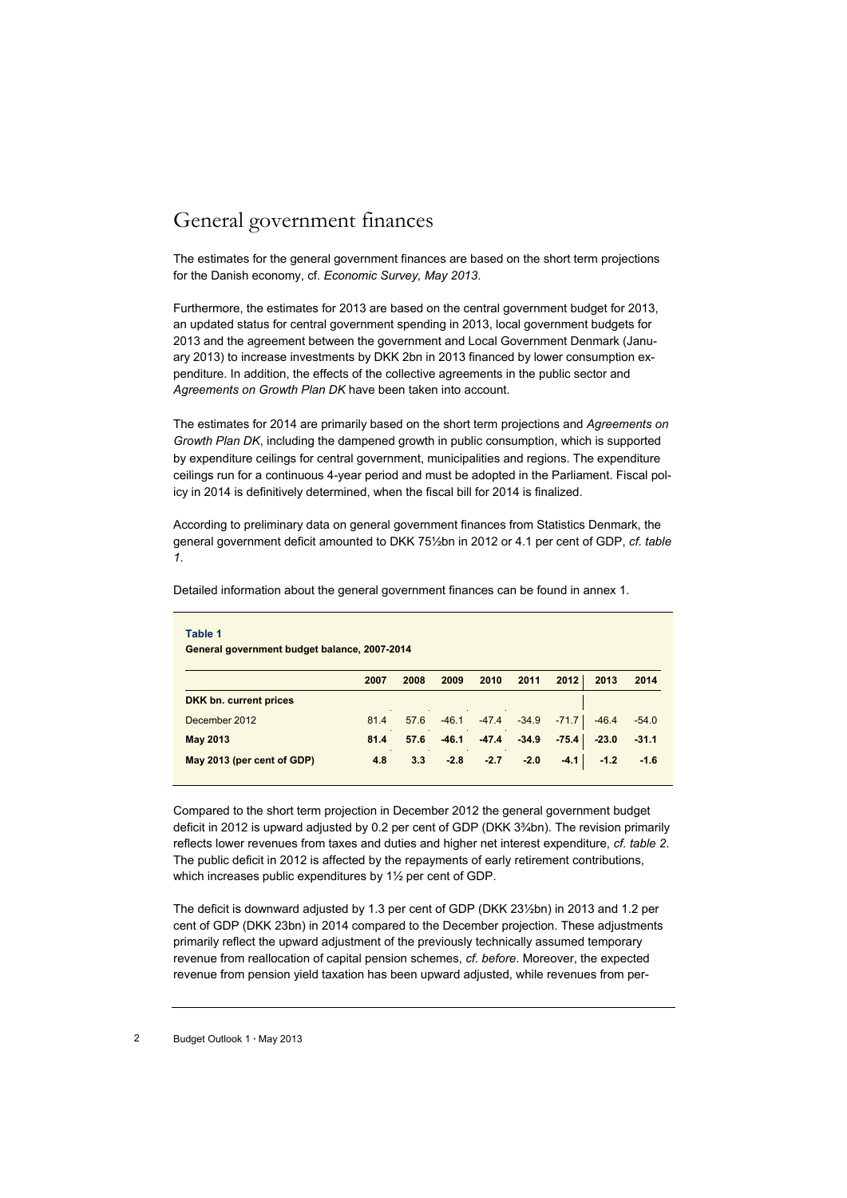## General government finances

The estimates for the general government finances are based on the short term projections for the Danish economy, cf. *Economic Survey, May 2013*.

Furthermore, the estimates for 2013 are based on the central government budget for 2013, an updated status for central government spending in 2013, local government budgets for 2013 and the agreement between the government and Local Government Denmark (January 2013) to increase investments by DKK 2bn in 2013 financed by lower consumption expenditure. In addition, the effects of the collective agreements in the public sector and *Agreements on Growth Plan DK* have been taken into account.

The estimates for 2014 are primarily based on the short term projections and *Agreements on Growth Plan DK*, including the dampened growth in public consumption, which is supported by expenditure ceilings for central government, municipalities and regions. The expenditure ceilings run for a continuous 4-year period and must be adopted in the Parliament. Fiscal policy in 2014 is definitively determined, when the fiscal bill for 2014 is finalized.

According to preliminary data on general government finances from Statistics Denmark, the general government deficit amounted to DKK 75½bn in 2012 or 4.1 per cent of GDP, *cf. table 1*.

| Table 1<br>General government budget balance, 2007-2014<br>2013<br>2010<br>2011<br>2012<br>2008<br>2009<br>2007 |      |      |         |         |         |         |         |         |  |  |
|-----------------------------------------------------------------------------------------------------------------|------|------|---------|---------|---------|---------|---------|---------|--|--|
|                                                                                                                 |      |      |         |         |         |         |         | 2014    |  |  |
| DKK bn. current prices                                                                                          |      |      |         |         |         |         |         |         |  |  |
| December 2012                                                                                                   | 81.4 | 57.6 | $-46.1$ | $-47.4$ | $-34.9$ | $-71.7$ | $-46.4$ | $-54.0$ |  |  |
| <b>May 2013</b>                                                                                                 | 81.4 | 57.6 | $-46.1$ | $-47.4$ | $-34.9$ | $-75.4$ | $-23.0$ | $-31.1$ |  |  |
| May 2013 (per cent of GDP)                                                                                      | 4.8  | 3.3  | $-2.8$  | $-2.7$  | $-2.0$  | $-4.1$  | $-1.2$  | $-1.6$  |  |  |

Detailed information about the general government finances can be found in annex 1.

Compared to the short term projection in December 2012 the general government budget deficit in 2012 is upward adjusted by 0.2 per cent of GDP (DKK 3¾bn). The revision primarily reflects lower revenues from taxes and duties and higher net interest expenditure, *cf. table 2*. The public deficit in 2012 is affected by the repayments of early retirement contributions, which increases public expenditures by 1½ per cent of GDP.

The deficit is downward adjusted by 1.3 per cent of GDP (DKK 23½bn) in 2013 and 1.2 per cent of GDP (DKK 23bn) in 2014 compared to the December projection. These adjustments primarily reflect the upward adjustment of the previously technically assumed temporary revenue from reallocation of capital pension schemes, *cf. before*. Moreover, the expected revenue from pension yield taxation has been upward adjusted, while revenues from per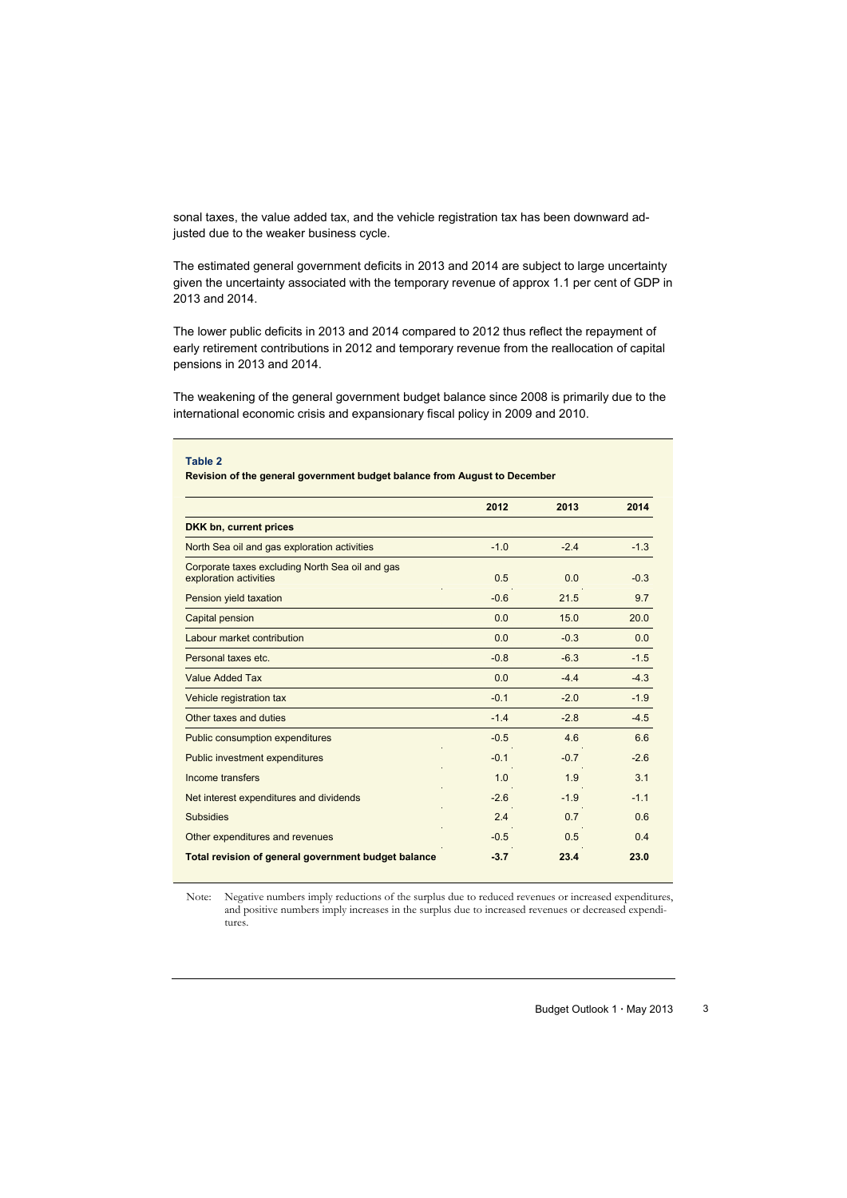sonal taxes, the value added tax, and the vehicle registration tax has been downward adjusted due to the weaker business cycle.

The estimated general government deficits in 2013 and 2014 are subject to large uncertainty given the uncertainty associated with the temporary revenue of approx 1.1 per cent of GDP in 2013 and 2014.

The lower public deficits in 2013 and 2014 compared to 2012 thus reflect the repayment of early retirement contributions in 2012 and temporary revenue from the reallocation of capital pensions in 2013 and 2014.

The weakening of the general government budget balance since 2008 is primarily due to the international economic crisis and expansionary fiscal policy in 2009 and 2010.

| Table 2                                                                   |        |        |        |
|---------------------------------------------------------------------------|--------|--------|--------|
| Revision of the general government budget balance from August to December |        |        |        |
|                                                                           | 2012   | 2013   | 2014   |
| DKK bn, current prices                                                    |        |        |        |
| North Sea oil and gas exploration activities                              | $-1.0$ | $-2.4$ | $-1.3$ |
| Corporate taxes excluding North Sea oil and gas<br>exploration activities | 0.5    | 0.0    | $-0.3$ |
| Pension yield taxation                                                    | $-0.6$ | 21.5   | 9.7    |
| Capital pension                                                           | 0.0    | 15.0   | 20.0   |
| Labour market contribution                                                | 0.0    | $-0.3$ | 0.0    |
| Personal taxes etc.                                                       | $-0.8$ | $-6.3$ | $-1.5$ |
| <b>Value Added Tax</b>                                                    | 0.0    | $-4.4$ | $-4.3$ |
| Vehicle registration tax                                                  | $-0.1$ | $-2.0$ | $-1.9$ |
| Other taxes and duties                                                    | $-1.4$ | $-2.8$ | $-4.5$ |
| <b>Public consumption expenditures</b>                                    | $-0.5$ | 4.6    | 6.6    |
| <b>Public investment expenditures</b>                                     | $-0.1$ | $-0.7$ | $-2.6$ |
| Income transfers                                                          | 1.0    | 1.9    | 3.1    |
| Net interest expenditures and dividends                                   | $-2.6$ | $-1.9$ | $-1.1$ |
| <b>Subsidies</b>                                                          | 2.4    | 0.7    | 0.6    |
| Other expenditures and revenues                                           | $-0.5$ | 0.5    | 0.4    |
| Total revision of general government budget balance                       | $-3.7$ | 23.4   | 23.0   |

Note: Negative numbers imply reductions of the surplus due to reduced revenues or increased expenditures, and positive numbers imply increases in the surplus due to increased revenues or decreased expenditures.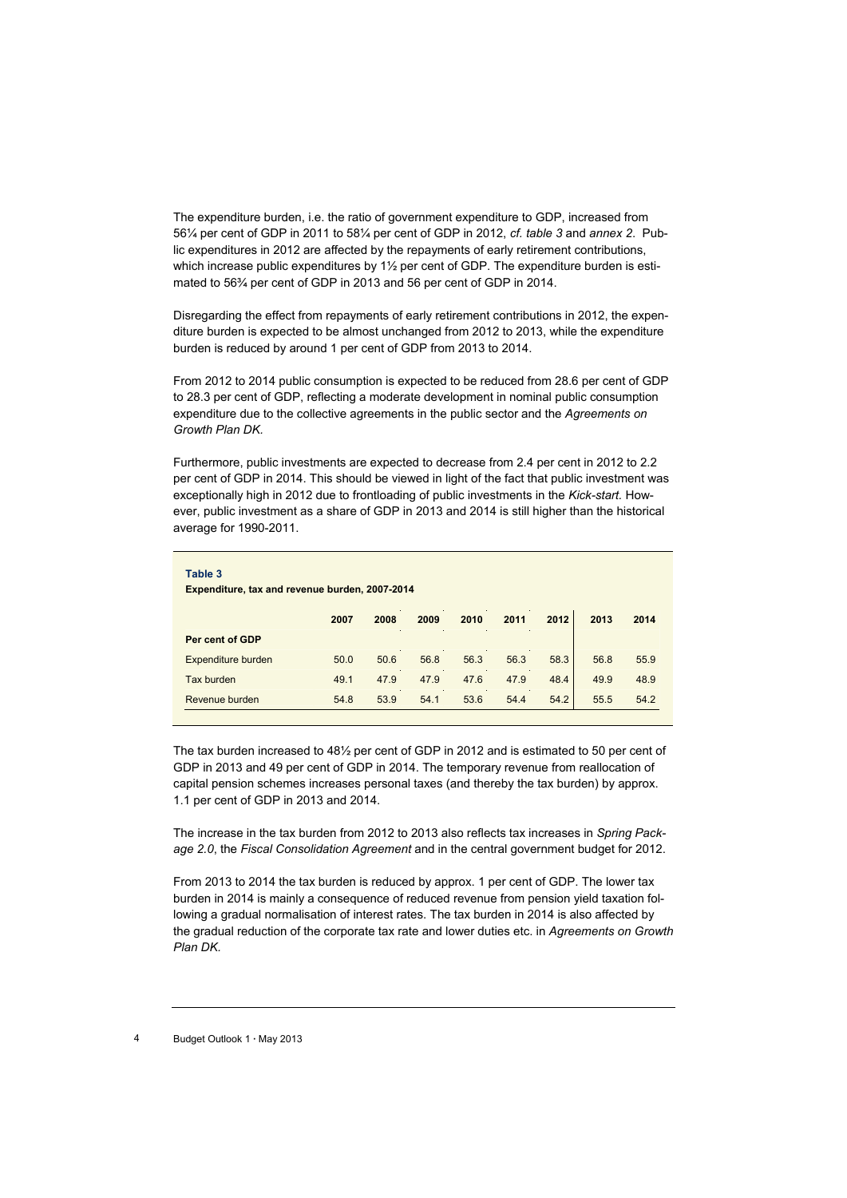The expenditure burden, i.e. the ratio of government expenditure to GDP, increased from 56¼ per cent of GDP in 2011 to 58¼ per cent of GDP in 2012, *cf. table 3* and *annex 2*. Public expenditures in 2012 are affected by the repayments of early retirement contributions, which increase public expenditures by  $1\frac{1}{2}$  per cent of GDP. The expenditure burden is estimated to 56¾ per cent of GDP in 2013 and 56 per cent of GDP in 2014.

Disregarding the effect from repayments of early retirement contributions in 2012, the expenditure burden is expected to be almost unchanged from 2012 to 2013, while the expenditure burden is reduced by around 1 per cent of GDP from 2013 to 2014.

From 2012 to 2014 public consumption is expected to be reduced from 28.6 per cent of GDP to 28.3 per cent of GDP, reflecting a moderate development in nominal public consumption expenditure due to the collective agreements in the public sector and the *Agreements on Growth Plan DK.*

Furthermore, public investments are expected to decrease from 2.4 per cent in 2012 to 2.2 per cent of GDP in 2014. This should be viewed in light of the fact that public investment was exceptionally high in 2012 due to frontloading of public investments in the *Kick-start.* However, public investment as a share of GDP in 2013 and 2014 is still higher than the historical average for 1990-2011.

| Table 3<br>Expenditure, tax and revenue burden, 2007-2014 |      |      |      |      |      |      |      |  |  |  |  |
|-----------------------------------------------------------|------|------|------|------|------|------|------|--|--|--|--|
| ÷.<br>2007                                                | 2008 | 2009 | 2010 | 2011 | 2012 | 2013 | 2014 |  |  |  |  |
|                                                           |      |      |      |      |      |      |      |  |  |  |  |
| 50.0                                                      | 50.6 | 56.8 | 56.3 | 56.3 | 58.3 | 56.8 | 55.9 |  |  |  |  |
| 49.1                                                      | 47.9 | 47.9 | 47.6 | 47.9 | 48.4 | 49.9 | 48.9 |  |  |  |  |
| 54.8                                                      | 53.9 | 54.1 | 53.6 | 54.4 | 54.2 | 55.5 | 54.2 |  |  |  |  |
|                                                           |      |      |      |      |      |      | n.   |  |  |  |  |

The tax burden increased to 48½ per cent of GDP in 2012 and is estimated to 50 per cent of GDP in 2013 and 49 per cent of GDP in 2014. The temporary revenue from reallocation of capital pension schemes increases personal taxes (and thereby the tax burden) by approx. 1.1 per cent of GDP in 2013 and 2014.

The increase in the tax burden from 2012 to 2013 also reflects tax increases in *Spring Package 2.0*, the *Fiscal Consolidation Agreement* and in the central government budget for 2012.

From 2013 to 2014 the tax burden is reduced by approx. 1 per cent of GDP. The lower tax burden in 2014 is mainly a consequence of reduced revenue from pension yield taxation following a gradual normalisation of interest rates. The tax burden in 2014 is also affected by the gradual reduction of the corporate tax rate and lower duties etc. in *Agreements on Growth Plan DK.*

<sup>4</sup> Budget Outlook 1 **·** May 2013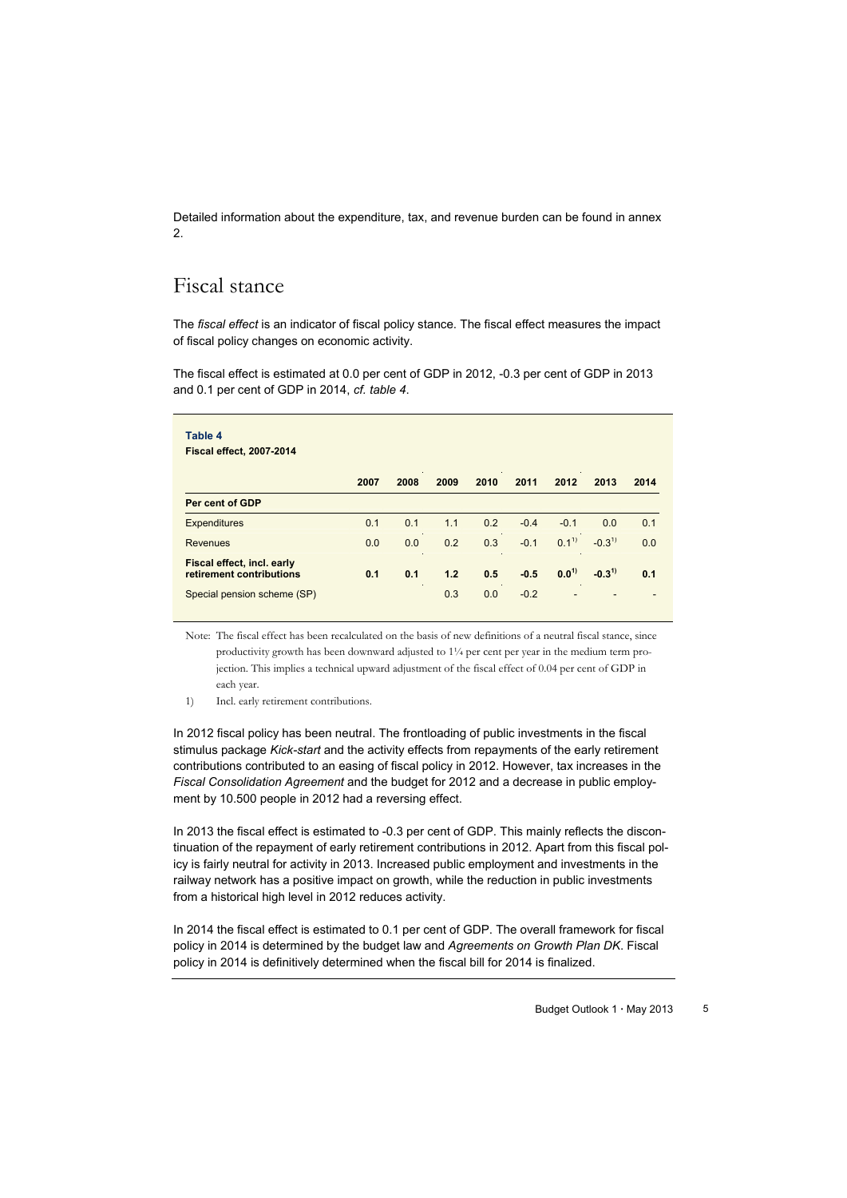Detailed information about the expenditure, tax, and revenue burden can be found in annex 2.

### Fiscal stance

The *fiscal effect* is an indicator of fiscal policy stance. The fiscal effect measures the impact of fiscal policy changes on economic activity.

The fiscal effect is estimated at 0.0 per cent of GDP in 2012, -0.3 per cent of GDP in 2013 and 0.1 per cent of GDP in 2014, *cf. table 4*.

| Table 4<br><b>Fiscal effect, 2007-2014</b>             |      |                |      |      |        |           |            |      |
|--------------------------------------------------------|------|----------------|------|------|--------|-----------|------------|------|
|                                                        | 2007 | $\sim$<br>2008 | 2009 | 2010 | 2011   | 2012      | 2013       | 2014 |
| Per cent of GDP                                        |      |                |      |      |        |           |            |      |
| <b>Expenditures</b>                                    | 0.1  | 0.1            | 1.1  | 0.2  | $-0.4$ | $-0.1$    | 0.0        | 0.1  |
| <b>Revenues</b>                                        | 0.0  | 0.0            | 0.2  | 0.3  | $-0.1$ | $0.1^{1}$ | $-0.3^{1}$ | 0.0  |
| Fiscal effect, incl. early<br>retirement contributions | 0.1  | 0.1            | 1.2  | 0.5  | $-0.5$ | $0.0^{1}$ | $-0.3^{1}$ | 0.1  |
| Special pension scheme (SP)                            |      |                | 0.3  | 0.0  | $-0.2$ |           |            |      |

Note: The fiscal effect has been recalculated on the basis of new definitions of a neutral fiscal stance, since productivity growth has been downward adjusted to 1¼ per cent per year in the medium term projection. This implies a technical upward adjustment of the fiscal effect of 0.04 per cent of GDP in each year.

1) Incl. early retirement contributions.

In 2012 fiscal policy has been neutral. The frontloading of public investments in the fiscal stimulus package *Kick-start* and the activity effects from repayments of the early retirement contributions contributed to an easing of fiscal policy in 2012. However, tax increases in the *Fiscal Consolidation Agreement* and the budget for 2012 and a decrease in public employment by 10.500 people in 2012 had a reversing effect.

In 2013 the fiscal effect is estimated to -0.3 per cent of GDP. This mainly reflects the discontinuation of the repayment of early retirement contributions in 2012. Apart from this fiscal policy is fairly neutral for activity in 2013. Increased public employment and investments in the railway network has a positive impact on growth, while the reduction in public investments from a historical high level in 2012 reduces activity.

In 2014 the fiscal effect is estimated to 0.1 per cent of GDP. The overall framework for fiscal policy in 2014 is determined by the budget law and *Agreements on Growth Plan DK*. Fiscal policy in 2014 is definitively determined when the fiscal bill for 2014 is finalized.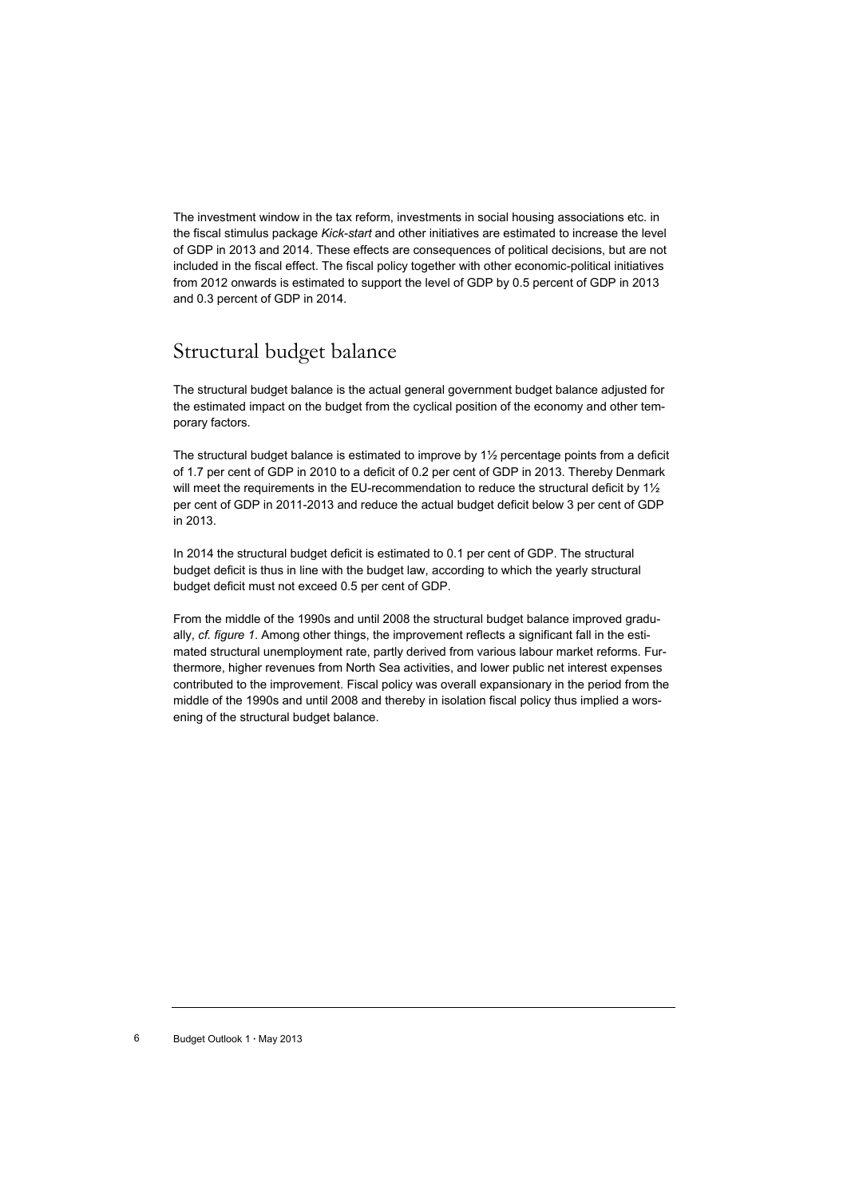The investment window in the tax reform, investments in social housing associations etc. in the fiscal stimulus package *Kick-start* and other initiatives are estimated to increase the level of GDP in 2013 and 2014. These effects are consequences of political decisions, but are not included in the fiscal effect. The fiscal policy together with other economic-political initiatives from 2012 onwards is estimated to support the level of GDP by 0.5 percent of GDP in 2013 and 0.3 percent of GDP in 2014.

## Structural budget balance

The structural budget balance is the actual general government budget balance adjusted for the estimated impact on the budget from the cyclical position of the economy and other temporary factors.

The structural budget balance is estimated to improve by  $1\frac{1}{2}$  percentage points from a deficit of 1.7 per cent of GDP in 2010 to a deficit of 0.2 per cent of GDP in 2013. Thereby Denmark will meet the requirements in the EU-recommendation to reduce the structural deficit by 1<sup>1/2</sup> per cent of GDP in 2011-2013 and reduce the actual budget deficit below 3 per cent of GDP in 2013.

In 2014 the structural budget deficit is estimated to 0.1 per cent of GDP. The structural budget deficit is thus in line with the budget law, according to which the yearly structural budget deficit must not exceed 0.5 per cent of GDP.

From the middle of the 1990s and until 2008 the structural budget balance improved gradually, *cf. figure 1*. Among other things, the improvement reflects a significant fall in the estimated structural unemployment rate, partly derived from various labour market reforms. Furthermore, higher revenues from North Sea activities, and lower public net interest expenses contributed to the improvement. Fiscal policy was overall expansionary in the period from the middle of the 1990s and until 2008 and thereby in isolation fiscal policy thus implied a worsening of the structural budget balance.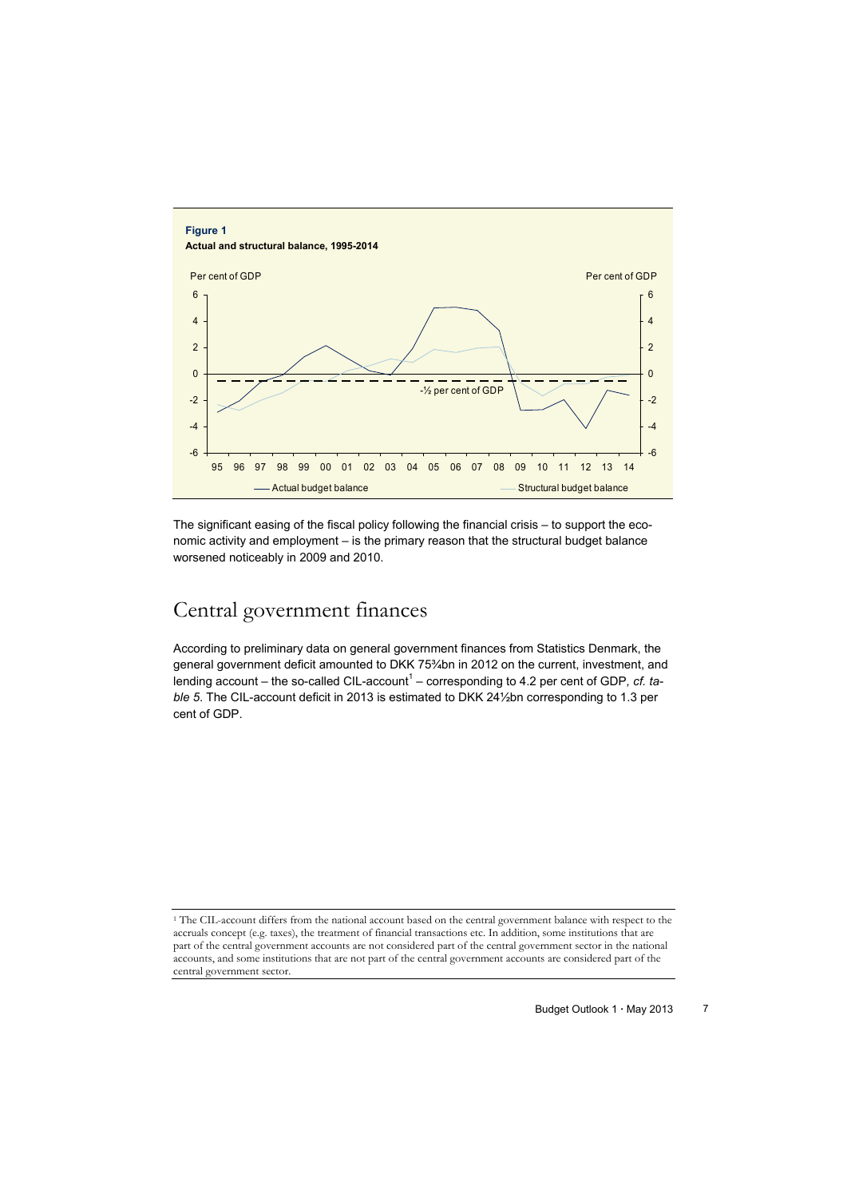

The significant easing of the fiscal policy following the financial crisis – to support the economic activity and employment – is the primary reason that the structural budget balance worsened noticeably in 2009 and 2010.

# Central government finances

According to preliminary data on general government finances from Statistics Denmark, the general government deficit amounted to DKK 75¾bn in 2012 on the current, investment, and lending account – the so-called CIL-account<sup>1</sup> – corresponding to 4.2 per cent of GDP, cf. ta*ble 5*. The CIL-account deficit in 2013 is estimated to DKK 24½bn corresponding to 1.3 per cent of GDP.

<sup>1</sup> The CIL-account differs from the national account based on the central government balance with respect to the accruals concept (e.g. taxes), the treatment of financial transactions etc. In addition, some institutions that are part of the central government accounts are not considered part of the central government sector in the national accounts, and some institutions that are not part of the central government accounts are considered part of the central government sector.

Budget Outlook 1 · May 2013 7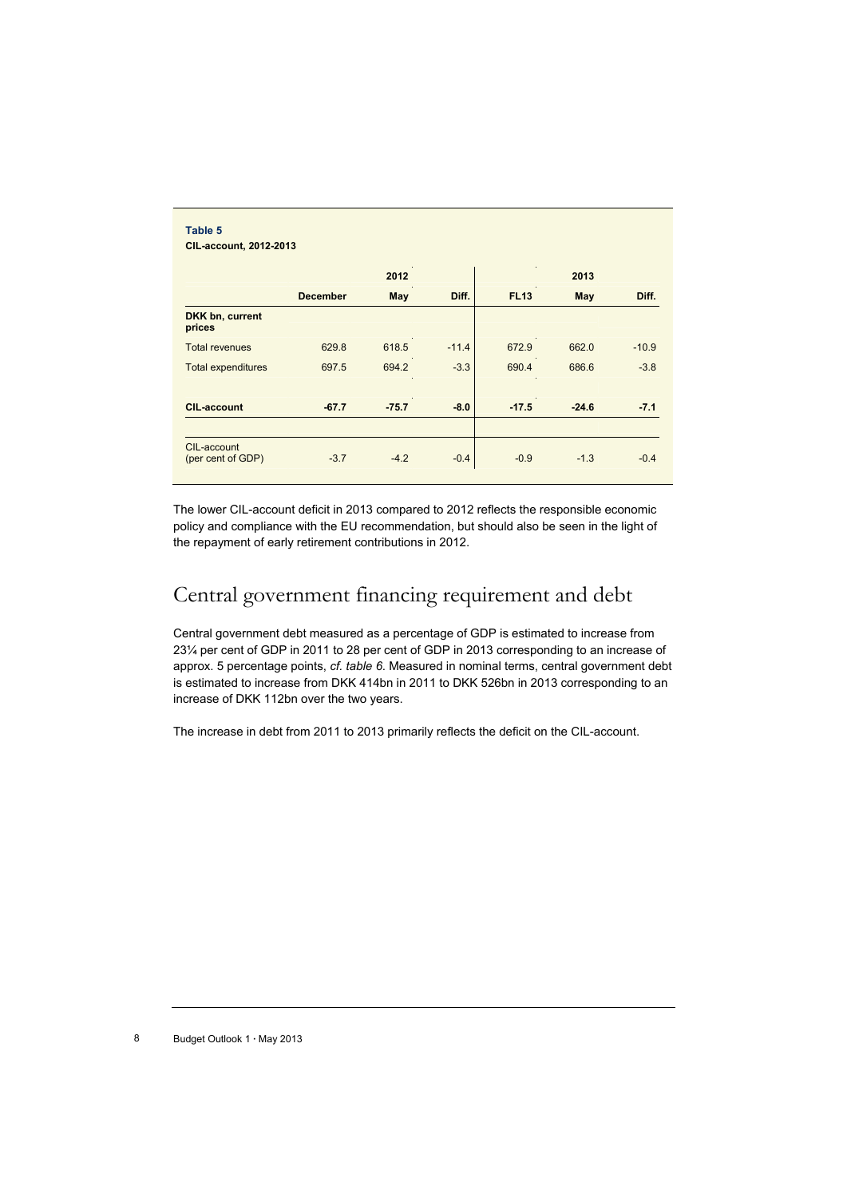|                                  |                 | 2012    |         |             | 2013    |         |
|----------------------------------|-----------------|---------|---------|-------------|---------|---------|
|                                  | <b>December</b> | May     | Diff.   | <b>FL13</b> | May     | Diff.   |
| DKK bn, current<br>prices        |                 |         |         |             |         |         |
| <b>Total revenues</b>            | 629.8           | 618.5   | $-11.4$ | 672.9       | 662.0   | $-10.9$ |
| <b>Total expenditures</b>        | 697.5           | 694.2   | $-3.3$  | 690.4       | 686.6   | $-3.8$  |
| <b>CIL-account</b>               | $-67.7$         | $-75.7$ | $-8.0$  | $-17.5$     | $-24.6$ | $-7.1$  |
|                                  |                 |         |         |             |         |         |
| CIL-account<br>(per cent of GDP) | $-3.7$          | $-4.2$  | $-0.4$  | $-0.9$      | $-1.3$  | $-0.4$  |

The lower CIL-account deficit in 2013 compared to 2012 reflects the responsible economic policy and compliance with the EU recommendation, but should also be seen in the light of the repayment of early retirement contributions in 2012.

# Central government financing requirement and debt

Central government debt measured as a percentage of GDP is estimated to increase from 23¼ per cent of GDP in 2011 to 28 per cent of GDP in 2013 corresponding to an increase of approx. 5 percentage points, *cf. table 6*. Measured in nominal terms, central government debt is estimated to increase from DKK 414bn in 2011 to DKK 526bn in 2013 corresponding to an increase of DKK 112bn over the two years.

The increase in debt from 2011 to 2013 primarily reflects the deficit on the CIL-account.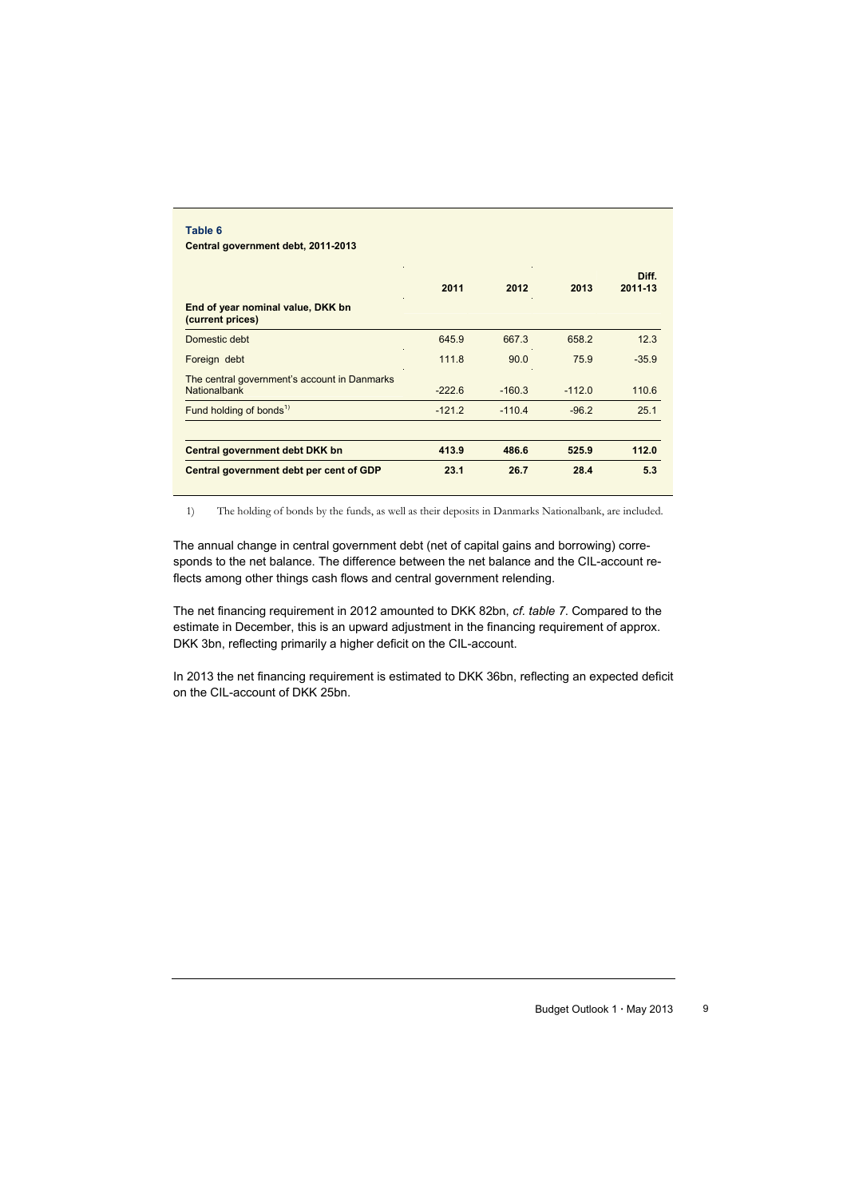|                                                              | 2011     | 2012     | 2013     | Diff.<br>2011-13 |
|--------------------------------------------------------------|----------|----------|----------|------------------|
| End of year nominal value, DKK bn<br>(current prices)        |          |          |          |                  |
| Domestic debt                                                | 645.9    | 667.3    | 658.2    | 12.3             |
| Foreign debt                                                 | 111.8    | 90.0     | 75.9     | $-35.9$          |
| The central government's account in Danmarks<br>Nationalbank | $-222.6$ | $-160.3$ | $-112.0$ | 110.6            |
| Fund holding of bonds <sup>1)</sup>                          | $-121.2$ | $-110.4$ | $-96.2$  | 25.1             |
| Central government debt DKK bn                               | 413.9    | 486.6    | 525.9    | 112.0            |
| Central government debt per cent of GDP                      | 23.1     | 26.7     | 28.4     | 5.3              |

1) The holding of bonds by the funds, as well as their deposits in Danmarks Nationalbank, are included.

The annual change in central government debt (net of capital gains and borrowing) corresponds to the net balance. The difference between the net balance and the CIL-account reflects among other things cash flows and central government relending.

The net financing requirement in 2012 amounted to DKK 82bn, *cf. table 7*. Compared to the estimate in December, this is an upward adjustment in the financing requirement of approx. DKK 3bn, reflecting primarily a higher deficit on the CIL-account.

In 2013 the net financing requirement is estimated to DKK 36bn, reflecting an expected deficit on the CIL-account of DKK 25bn.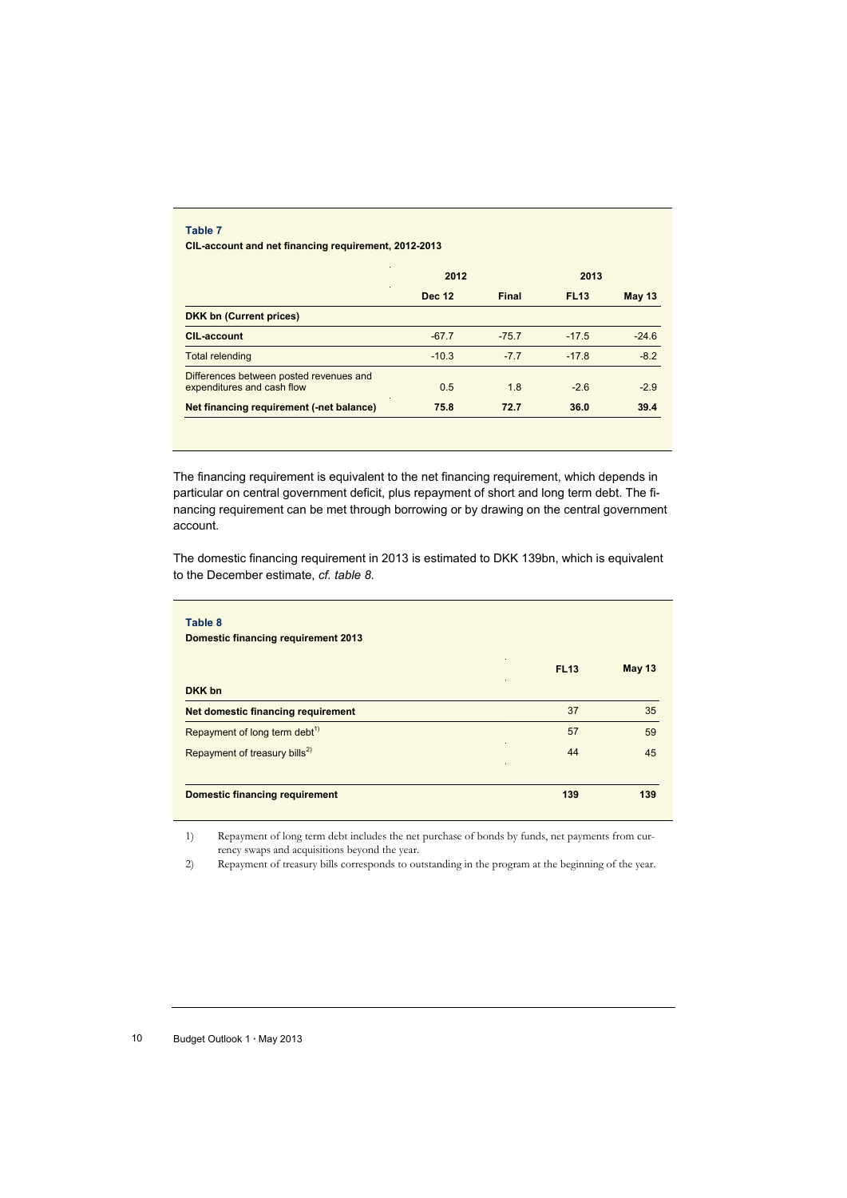#### **Table 7**

**CIL-account and net financing requirement, 2012-2013** 

|                                                                       | 2012          |         | 2013        |               |
|-----------------------------------------------------------------------|---------------|---------|-------------|---------------|
|                                                                       | <b>Dec 12</b> | Final   | <b>FL13</b> | <b>May 13</b> |
| <b>DKK bn (Current prices)</b>                                        |               |         |             |               |
| <b>CIL-account</b>                                                    | $-67.7$       | $-75.7$ | $-17.5$     | $-24.6$       |
| <b>Total relending</b>                                                | $-10.3$       | $-7.7$  | $-17.8$     | $-8.2$        |
| Differences between posted revenues and<br>expenditures and cash flow | 0.5           | 1.8     | $-2.6$      | $-2.9$        |
| Net financing requirement (-net balance)                              | 75.8          | 72.7    | 36.0        | 39.4          |

The financing requirement is equivalent to the net financing requirement, which depends in particular on central government deficit, plus repayment of short and long term debt. The financing requirement can be met through borrowing or by drawing on the central government account.

The domestic financing requirement in 2013 is estimated to DKK 139bn, which is equivalent to the December estimate, *cf. table 8*.

| Domestic financing requirement 2013       |             |               |
|-------------------------------------------|-------------|---------------|
|                                           | <b>FL13</b> | <b>May 13</b> |
| DKK bn                                    |             |               |
| Net domestic financing requirement        | 37          | 35            |
| Repayment of long term debt <sup>1)</sup> | 57          | 59            |
| Repayment of treasury bills <sup>2)</sup> | 44          | 45            |
| <b>Domestic financing requirement</b>     | 139         | 139           |

1) Repayment of long term debt includes the net purchase of bonds by funds, net payments from currency swaps and acquisitions beyond the year.

2) Repayment of treasury bills corresponds to outstanding in the program at the beginning of the year.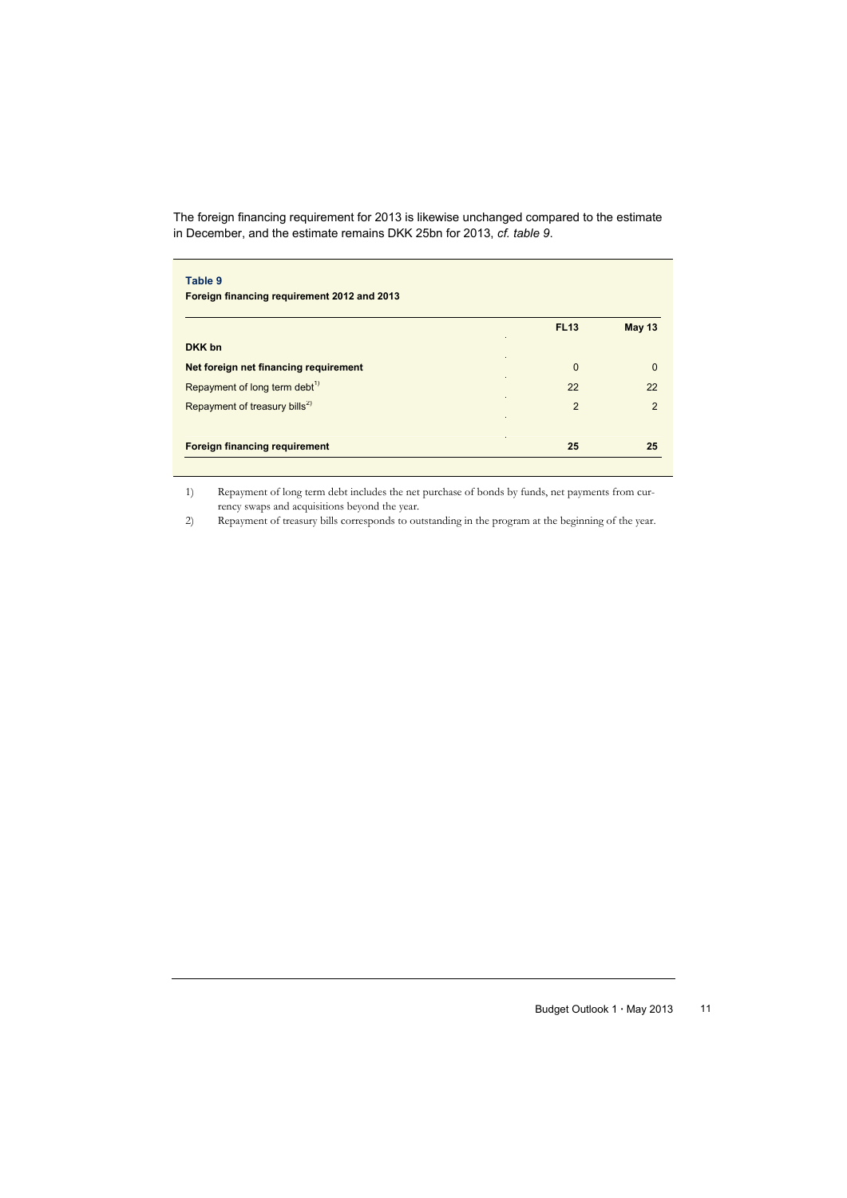The foreign financing requirement for 2013 is likewise unchanged compared to the estimate in December, and the estimate remains DKK 25bn for 2013, *cf. table 9*.

| Table 9<br>Foreign financing requirement 2012 and 2013 |                |                |
|--------------------------------------------------------|----------------|----------------|
|                                                        | <b>FL13</b>    | <b>May 13</b>  |
| DKK bn                                                 |                |                |
| Net foreign net financing requirement                  | $\Omega$       | $\Omega$       |
| Repayment of long term debt <sup>1)</sup>              | 22             | 22             |
| Repayment of treasury bills <sup>2)</sup>              | $\overline{2}$ | $\overline{2}$ |
| <b>Foreign financing requirement</b>                   | 25             | 25             |

1) Repayment of long term debt includes the net purchase of bonds by funds, net payments from currency swaps and acquisitions beyond the year.

2) Repayment of treasury bills corresponds to outstanding in the program at the beginning of the year.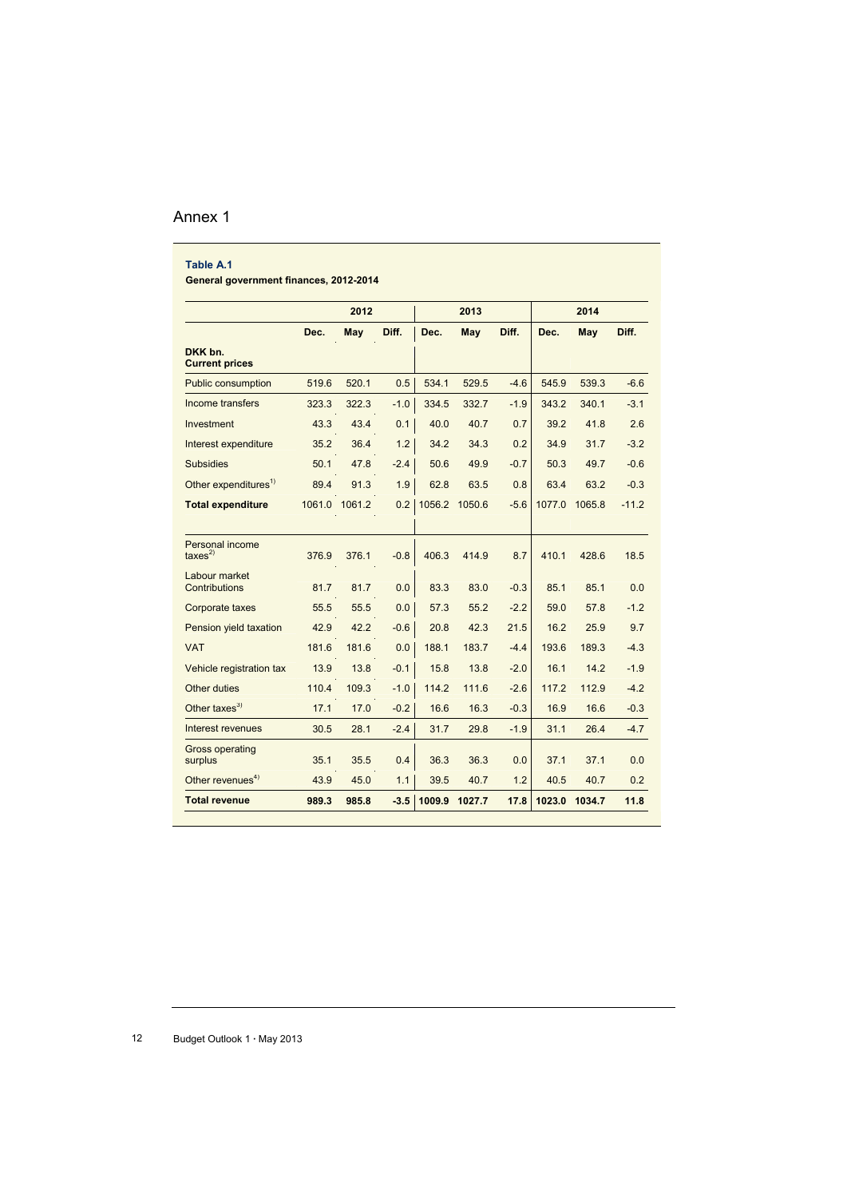### Annex 1

| Table A.1                              |        |        |        |        |        |        |        |               |         |
|----------------------------------------|--------|--------|--------|--------|--------|--------|--------|---------------|---------|
| General government finances, 2012-2014 |        |        |        |        |        |        |        |               |         |
|                                        |        | 2012   |        |        | 2013   |        |        | 2014          |         |
|                                        | Dec.   | May    | Diff.  | Dec.   | May    | Diff.  | Dec.   | May           | Diff.   |
| DKK bn.<br><b>Current prices</b>       |        |        |        |        |        |        |        |               |         |
| <b>Public consumption</b>              | 519.6  | 520.1  | 0.5    | 534.1  | 529.5  | $-4.6$ | 545.9  | 539.3         | $-6.6$  |
| Income transfers                       | 323.3  | 322.3  | $-1.0$ | 334.5  | 332.7  | $-1.9$ | 343.2  | 340.1         | $-3.1$  |
| Investment                             | 43.3   | 43.4   | 0.1    | 40.0   | 40.7   | 0.7    | 39.2   | 41.8          | 2.6     |
| Interest expenditure                   | 35.2   | 36.4   | 1.2    | 34.2   | 34.3   | 0.2    | 34.9   | 31.7          | $-3.2$  |
| <b>Subsidies</b>                       | 50.1   | 47.8   | $-2.4$ | 50.6   | 49.9   | $-0.7$ | 50.3   | 49.7          | $-0.6$  |
| Other expenditures <sup>1)</sup>       | 89.4   | 91.3   | 1.9    | 62.8   | 63.5   | 0.8    | 63.4   | 63.2          | $-0.3$  |
| <b>Total expenditure</b>               | 1061.0 | 1061.2 | 0.2    | 1056.2 | 1050.6 | $-5.6$ |        | 1077.0 1065.8 | $-11.2$ |
|                                        |        |        |        |        |        |        |        |               |         |
| Personal income<br>$\text{taxes}^{2)}$ | 376.9  | 376.1  | $-0.8$ | 406.3  | 414.9  | 8.7    | 410.1  | 428.6         | 18.5    |
| Labour market<br>Contributions         | 81.7   | 81.7   | 0.0    | 83.3   | 83.0   | $-0.3$ | 85.1   | 85.1          | 0.0     |
| Corporate taxes                        | 55.5   | 55.5   | 0.0    | 57.3   | 55.2   | $-2.2$ | 59.0   | 57.8          | $-1.2$  |
| Pension yield taxation                 | 42.9   | 42.2   | $-0.6$ | 20.8   | 42.3   | 21.5   | 16.2   | 25.9          | 9.7     |
| <b>VAT</b>                             | 181.6  | 181.6  | 0.0    | 188.1  | 183.7  | $-4.4$ | 193.6  | 189.3         | $-4.3$  |
| Vehicle registration tax               | 13.9   | 13.8   | $-0.1$ | 15.8   | 13.8   | $-2.0$ | 16.1   | 14.2          | $-1.9$  |
| <b>Other duties</b>                    | 110.4  | 109.3  | $-1.0$ | 114.2  | 111.6  | $-2.6$ | 117.2  | 112.9         | $-4.2$  |
| Other taxes $3)$                       | 17.1   | 17.0   | $-0.2$ | 16.6   | 16.3   | $-0.3$ | 16.9   | 16.6          | $-0.3$  |
| Interest revenues                      | 30.5   | 28.1   | $-2.4$ | 31.7   | 29.8   | $-1.9$ | 31.1   | 26.4          | $-4.7$  |
| <b>Gross operating</b><br>surplus      | 35.1   | 35.5   | 0.4    | 36.3   | 36.3   | 0.0    | 37.1   | 37.1          | 0.0     |
| Other revenues <sup>4)</sup>           | 43.9   | 45.0   | 1.1    | 39.5   | 40.7   | 1.2    | 40.5   | 40.7          | 0.2     |
| <b>Total revenue</b>                   | 989.3  | 985.8  | $-3.5$ | 1009.9 | 1027.7 | 17.8   | 1023.0 | 1034.7        | 11.8    |

12 Budget Outlook 1 **·** May 2013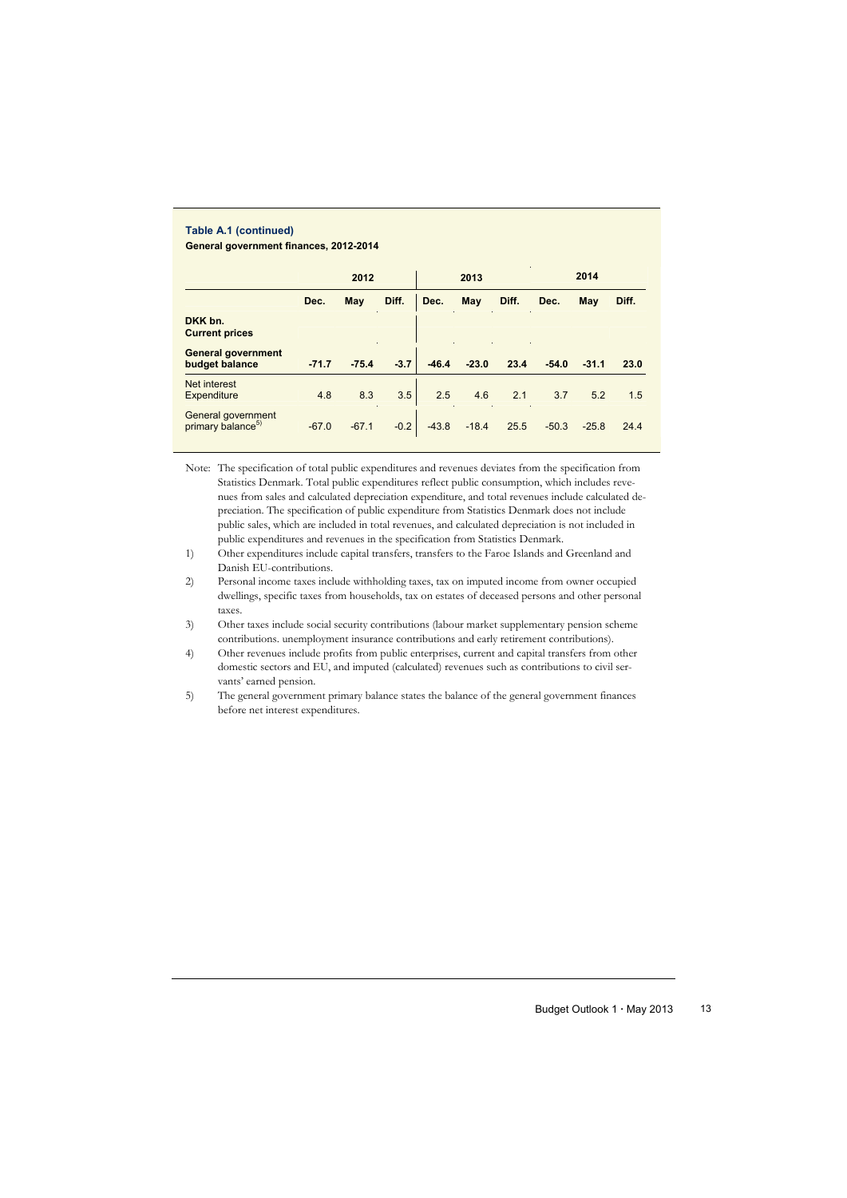#### **Table A.1 (continued) General government finances, 2012-2014**

|         | 2012    |        |         | 2013    |                                         |         | 2014    |                    |
|---------|---------|--------|---------|---------|-----------------------------------------|---------|---------|--------------------|
| Dec.    | May     | Diff.  | Dec.    | May     | Diff.                                   | Dec.    | May     | Diff.              |
|         |         |        |         |         |                                         |         |         |                    |
| $-71.7$ | $-75.4$ | $-3.7$ | $-46.4$ | $-23.0$ | 23.4                                    | $-54.0$ | $-31.1$ | 23.0               |
| 4.8     | 8.3     | 3.5    | 2.5     | 4.6     | 2.1                                     | 3.7     | 5.2     | 1.5                |
| $-67.0$ |         |        |         |         | 25.5                                    |         |         | 24.4               |
|         |         |        |         |         | $-0.2$<br>$-43.8$<br>$-18.4$<br>$-67.1$ |         |         | $-50.3$<br>$-25.8$ |

Note: The specification of total public expenditures and revenues deviates from the specification from Statistics Denmark. Total public expenditures reflect public consumption, which includes revenues from sales and calculated depreciation expenditure, and total revenues include calculated depreciation. The specification of public expenditure from Statistics Denmark does not include public sales, which are included in total revenues, and calculated depreciation is not included in public expenditures and revenues in the specification from Statistics Denmark.

1) Other expenditures include capital transfers, transfers to the Faroe Islands and Greenland and Danish EU-contributions.

2) Personal income taxes include withholding taxes, tax on imputed income from owner occupied dwellings, specific taxes from households, tax on estates of deceased persons and other personal taxes.

3) Other taxes include social security contributions (labour market supplementary pension scheme contributions. unemployment insurance contributions and early retirement contributions).

4) Other revenues include profits from public enterprises, current and capital transfers from other domestic sectors and EU, and imputed (calculated) revenues such as contributions to civil servants' earned pension.

5) The general government primary balance states the balance of the general government finances before net interest expenditures.